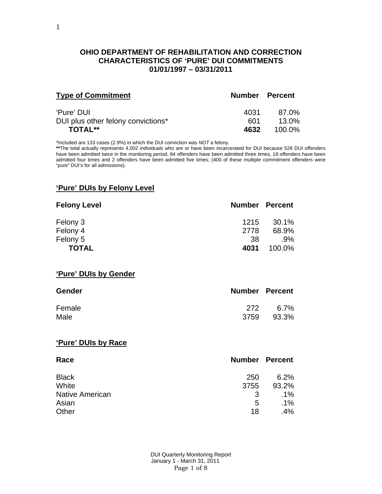### **OHIO DEPARTMENT OF REHABILITATION AND CORRECTION CHARACTERISTICS OF 'PURE' DUI COMMITMENTS 01/01/1997 – 03/31/2011**

| <b>Type of Commitment</b>          | <b>Number Percent</b> |        |
|------------------------------------|-----------------------|--------|
| 'Pure' DUI                         | 4031                  | 87.0%  |
| DUI plus other felony convictions* | 601                   | 13.0%  |
| <b>TOTAL**</b>                     | 4632                  | 100.0% |

\*Included are 133 cases (2.9%) in which the DUI conviction was *NOT* a felony.

**\*\***The total actually represents 4,002 individuals who are or have been incarcerated for DUI because 526 DUI offenders have been admitted twice in the monitoring period, 84 offenders have been admitted three times, 18 offenders have been admitted four times and 2 offenders have been admitted five times; (400 of these multiple commitment offenders were "pure" DUI's for all admissions).

#### **'Pure' DUIs by Felony Level**

| <b>Felony Level</b> | <b>Number Percent</b> |        |
|---------------------|-----------------------|--------|
| Felony 3            | 1215                  | 30.1%  |
| Felony 4            | 2778                  | 68.9%  |
| Felony 5            | -38                   | $.9\%$ |
| <b>TOTAL</b>        | 4031                  | 100.0% |

**'Pure' DUIs by Gender**

| <b>Gender</b> | <b>Number Percent</b> |       |
|---------------|-----------------------|-------|
| Female        | 272                   | 6.7%  |
| Male          | 3759                  | 93.3% |

#### **'Pure' DUIs by Race**

| Race                   | <b>Number Percent</b> |        |
|------------------------|-----------------------|--------|
| <b>Black</b>           | 250                   | 6.2%   |
| White                  | 3755                  | 93.2%  |
| <b>Native American</b> | 3                     | $.1\%$ |
| Asian                  | 5                     | $.1\%$ |
| Other                  | 18                    | .4%    |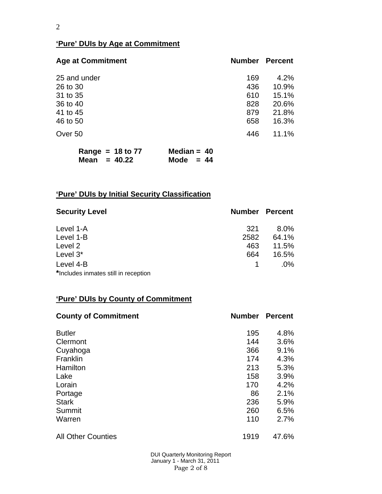## **'Pure' DUIs by Age at Commitment**

| <b>Age at Commitment</b> | <b>Number</b> | <b>Percent</b> |
|--------------------------|---------------|----------------|
| 25 and under             | 169           | 4.2%           |
| 26 to 30                 | 436           | 10.9%          |
| 31 to 35                 | 610           | 15.1%          |
| 36 to 40                 | 828           | 20.6%          |
| 41 to 45                 | 879           | 21.8%          |
| 46 to 50                 | 658           | 16.3%          |
| Over 50                  | 446           | 11.1%          |
|                          |               |                |

|                | Range = $18$ to 77 | Median = $40$ |  |
|----------------|--------------------|---------------|--|
| Mean = $40.22$ |                    | Mode $= 44$   |  |

# **'Pure' DUIs by Initial Security Classification**

| <b>Security Level</b>                | <b>Number Percent</b> |         |
|--------------------------------------|-----------------------|---------|
| Level 1-A                            | 321                   | $8.0\%$ |
| Level 1-B                            | 2582                  | 64.1%   |
| Level 2                              | 463                   | 11.5%   |
| Level $3^*$                          | 664                   | 16.5%   |
| Level 4-B                            |                       | $.0\%$  |
| *Includes inmates still in reception |                       |         |

## **'Pure' DUIs by County of Commitment**

| <b>County of Commitment</b> | <b>Number</b> | <b>Percent</b> |
|-----------------------------|---------------|----------------|
| <b>Butler</b>               | 195           | 4.8%           |
| Clermont                    | 144           | 3.6%           |
| Cuyahoga                    | 366           | 9.1%           |
| Franklin                    | 174           | 4.3%           |
| Hamilton                    | 213           | 5.3%           |
| Lake                        | 158           | 3.9%           |
| Lorain                      | 170           | 4.2%           |
| Portage                     | 86            | 2.1%           |
| <b>Stark</b>                | 236           | 5.9%           |
| Summit                      | 260           | 6.5%           |
| Warren                      | 110           | 2.7%           |
| <b>All Other Counties</b>   | 1919          | 47.6%          |

 DUI Quarterly Monitoring Report January 1 - March 31, 2011 Page 2 of 8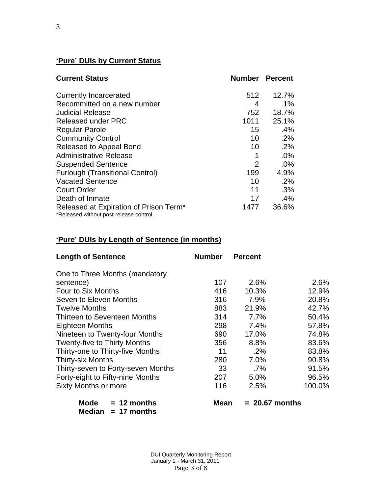# **'Pure' DUIs by Current Status**

| <b>Current Status</b>                                                             |                 | <b>Number Percent</b> |
|-----------------------------------------------------------------------------------|-----------------|-----------------------|
| <b>Currently Incarcerated</b>                                                     | 512             | 12.7%                 |
| Recommitted on a new number                                                       | 4               | $.1\%$                |
| <b>Judicial Release</b>                                                           | 752             | 18.7%                 |
| <b>Released under PRC</b>                                                         | 1011            | 25.1%                 |
| <b>Regular Parole</b>                                                             | 15              | .4%                   |
| <b>Community Control</b>                                                          | 10 <sup>°</sup> | .2%                   |
| Released to Appeal Bond                                                           | 10              | .2%                   |
| <b>Administrative Release</b>                                                     | 1               | .0%                   |
| <b>Suspended Sentence</b>                                                         | $\overline{2}$  | .0%                   |
| <b>Furlough (Transitional Control)</b>                                            | 199             | 4.9%                  |
| <b>Vacated Sentence</b>                                                           | 10              | .2%                   |
| <b>Court Order</b>                                                                | 11              | .3%                   |
| Death of Inmate                                                                   | 17              | .4%                   |
| Released at Expiration of Prison Term*<br>*Released without post-release control. | 1477            | 36.6%                 |

# **'Pure' DUIs by Length of Sentence (in months)**

| <b>Length of Sentence</b>                     | <b>Number</b> | <b>Percent</b>   |        |
|-----------------------------------------------|---------------|------------------|--------|
| One to Three Months (mandatory                |               |                  |        |
| sentence)                                     | 107           | 2.6%             | 2.6%   |
| Four to Six Months                            | 416           | 10.3%            | 12.9%  |
| Seven to Eleven Months                        | 316           | 7.9%             | 20.8%  |
| <b>Twelve Months</b>                          | 883           | 21.9%            | 42.7%  |
| Thirteen to Seventeen Months                  | 314           | 7.7%             | 50.4%  |
| <b>Eighteen Months</b>                        | 298           | 7.4%             | 57.8%  |
| Nineteen to Twenty-four Months                | 690           | 17.0%            | 74.8%  |
| <b>Twenty-five to Thirty Months</b>           | 356           | 8.8%             | 83.6%  |
| Thirty-one to Thirty-five Months              | 11            | $.2\%$           | 83.8%  |
| <b>Thirty-six Months</b>                      | 280           | 7.0%             | 90.8%  |
| Thirty-seven to Forty-seven Months            | 33            | .7%              | 91.5%  |
| Forty-eight to Fifty-nine Months              | 207           | 5.0%             | 96.5%  |
| <b>Sixty Months or more</b>                   | 116           | 2.5%             | 100.0% |
| Mode<br>$= 12$ months<br>Median $= 17$ months | <b>Mean</b>   | $= 20.67$ months |        |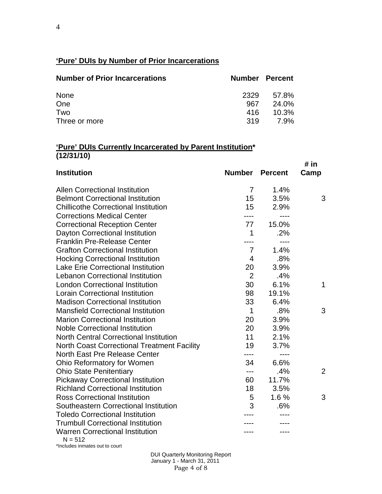# **'Pure' DUIs by Number of Prior Incarcerations**

| <b>Number of Prior Incarcerations</b> |      | <b>Number Percent</b> |
|---------------------------------------|------|-----------------------|
| None                                  | 2329 | 57.8%                 |
| One                                   | 967  | 24.0%                 |
| Two                                   | 416  | 10.3%                 |
| Three or more                         | 319  | <b>7.9%</b>           |

#### **'Pure' DUIs Currently Incarcerated by Parent Institution\* (12/31/10)**

| <b>Institution</b>                                  | <b>Number Percent</b> |           | # in<br>Camp   |
|-----------------------------------------------------|-----------------------|-----------|----------------|
| <b>Allen Correctional Institution</b>               | $\overline{7}$        | 1.4%      |                |
| <b>Belmont Correctional Institution</b>             | 15                    | 3.5%      | 3              |
| <b>Chillicothe Correctional Institution</b>         | 15                    | 2.9%      |                |
| <b>Corrections Medical Center</b>                   |                       |           |                |
| <b>Correctional Reception Center</b>                | 77                    | 15.0%     |                |
| Dayton Correctional Institution                     | 1                     | .2%       |                |
| <b>Franklin Pre-Release Center</b>                  |                       | $---$     |                |
| <b>Grafton Correctional Institution</b>             | $\overline{7}$        | 1.4%      |                |
| <b>Hocking Correctional Institution</b>             | $\overline{4}$        | .8%       |                |
| <b>Lake Erie Correctional Institution</b>           | 20                    | 3.9%      |                |
| <b>Lebanon Correctional Institution</b>             | $\overline{2}$        | .4%       |                |
| <b>London Correctional Institution</b>              | 30                    | 6.1%      | $\mathbf 1$    |
| <b>Lorain Correctional Institution</b>              | 98                    | 19.1%     |                |
| <b>Madison Correctional Institution</b>             | 33                    | 6.4%      |                |
| <b>Mansfield Correctional Institution</b>           | $\mathbf 1$           | .8%       | 3              |
| <b>Marion Correctional Institution</b>              | 20                    | 3.9%      |                |
| <b>Noble Correctional Institution</b>               | 20                    | 3.9%      |                |
| <b>North Central Correctional Institution</b>       | 11                    | 2.1%      |                |
| <b>North Coast Correctional Treatment Facility</b>  | 19                    | 3.7%      |                |
| North East Pre Release Center                       | ----                  | $- - - -$ |                |
| Ohio Reformatory for Women                          | 34                    | 6.6%      |                |
| <b>Ohio State Penitentiary</b>                      | ---                   | .4%       | $\overline{2}$ |
| <b>Pickaway Correctional Institution</b>            | 60                    | 11.7%     |                |
| <b>Richland Correctional Institution</b>            | 18                    | 3.5%      |                |
| <b>Ross Correctional Institution</b>                | 5                     | 1.6%      | 3              |
| Southeastern Correctional Institution               | 3                     | .6%       |                |
| <b>Toledo Correctional Institution</b>              |                       |           |                |
| <b>Trumbull Correctional Institution</b>            |                       |           |                |
| <b>Warren Correctional Institution</b><br>$N = 512$ |                       |           |                |

\*Includes inmates out to court

 DUI Quarterly Monitoring Report January 1 - March 31, 2011 Page 4 of 8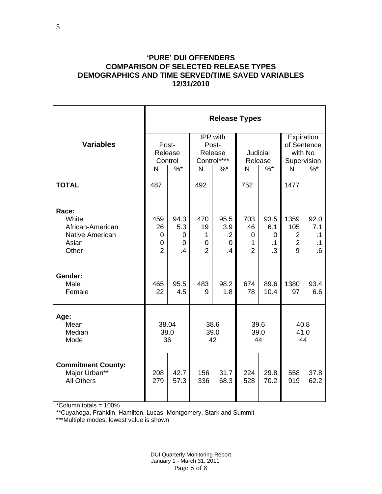#### **'PURE' DUI OFFENDERS COMPARISON OF SELECTED RELEASE TYPES DEMOGRAPHICS AND TIME SERVED/TIME SAVED VARIABLES 12/31/2010**

|                                                                                | <b>Release Types</b>                  |                             |                                       |                                              |                                       |                                            |                                                      |                                      |  |  |
|--------------------------------------------------------------------------------|---------------------------------------|-----------------------------|---------------------------------------|----------------------------------------------|---------------------------------------|--------------------------------------------|------------------------------------------------------|--------------------------------------|--|--|
| <b>Variables</b>                                                               | Post-<br>Release<br>Control           |                             |                                       | IPP with<br>Post-<br>Release<br>Control****  | <b>Judicial</b><br>Release            |                                            | Expiration<br>of Sentence<br>with No<br>Supervision  |                                      |  |  |
|                                                                                | N                                     | $\%$ *                      | N                                     | $\% *$                                       | N                                     | $\%$ *                                     | N                                                    | $\sqrt[9]{6}$                        |  |  |
| <b>TOTAL</b>                                                                   | 487                                   |                             | 492                                   |                                              | 752                                   |                                            | 1477                                                 |                                      |  |  |
| Race:<br>White<br>African-American<br><b>Native American</b><br>Asian<br>Other | 459<br>26<br>0<br>0<br>$\overline{2}$ | 94.3<br>5.3<br>0<br>0<br>.4 | 470<br>19<br>1<br>0<br>$\overline{2}$ | 95.5<br>3.9<br>$\cdot$<br>0<br>$\mathcal{A}$ | 703<br>46<br>0<br>1<br>$\overline{2}$ | 93.5<br>6.1<br>0<br>$\cdot$ 1<br>$\cdot$ 3 | 1359<br>105<br>$\overline{2}$<br>$\overline{2}$<br>9 | 92.0<br>7.1<br>.1<br>$\cdot$ 1<br>.6 |  |  |
| Gender:<br>Male<br>Female                                                      | 465<br>22                             | 95.5<br>4.5                 | 483<br>9                              | 98.2<br>1.8                                  | 674<br>78                             | 89.6<br>10.4                               | 1380<br>97                                           | 93.4<br>6.6                          |  |  |
| Age:<br>Mean<br>Median<br>Mode                                                 | 38.04<br>38.0<br>36                   |                             | 38.6<br>39.0<br>42                    |                                              | 39.6<br>39.0<br>44                    |                                            | 40.8<br>41.0<br>44                                   |                                      |  |  |
| <b>Commitment County:</b><br>Major Urban**<br><b>All Others</b>                | 208<br>279                            | 42.7<br>57.3                | 156<br>336                            | 31.7<br>68.3                                 | 224<br>528                            | 29.8<br>70.2                               | 558<br>919                                           | 37.8<br>62.2                         |  |  |

\*Column totals = 100%

\*\*Cuyahoga, Franklin, Hamilton, Lucas, Montgomery, Stark and Summit

\*\*\*Multiple modes; lowest value is shown

 DUI Quarterly Monitoring Report January 1 - March 31, 2011 Page 5 of 8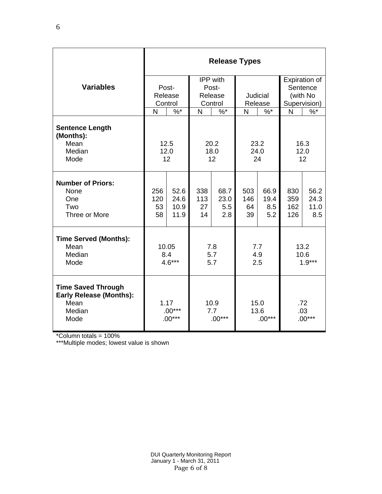|                                                                                       | <b>Release Types</b>         |                              |                         |                            |                          |                            |                          |                             |  |  |
|---------------------------------------------------------------------------------------|------------------------------|------------------------------|-------------------------|----------------------------|--------------------------|----------------------------|--------------------------|-----------------------------|--|--|
|                                                                                       |                              |                              |                         | IPP with                   |                          |                            | Expiration of            |                             |  |  |
| <b>Variables</b>                                                                      |                              | Post-                        |                         | Post-                      |                          |                            | Sentence                 |                             |  |  |
|                                                                                       | Release                      |                              | Release                 |                            | Judicial                 |                            | (with No                 |                             |  |  |
|                                                                                       |                              | Control<br>Control           |                         | Release                    |                          | Supervision)               |                          |                             |  |  |
|                                                                                       | N                            | $\%$ *                       | N                       | $\%$ *                     | N                        | $\%$ *                     | N                        | $\%$                        |  |  |
| <b>Sentence Length</b><br>(Months):<br>Mean<br>Median<br>Mode                         |                              | 12.5<br>12.0<br>12           | 20.2<br>18.0<br>12      |                            | 23.2<br>24.0<br>24       |                            | 16.3<br>12.0<br>12       |                             |  |  |
| <b>Number of Priors:</b><br>None<br>One<br>Two<br>Three or More                       | 256<br>120<br>53<br>58       | 52.6<br>24.6<br>10.9<br>11.9 | 338<br>113<br>27<br>14  | 68.7<br>23.0<br>5.5<br>2.8 | 503<br>146<br>64<br>39   | 66.9<br>19.4<br>8.5<br>5.2 | 830<br>359<br>162<br>126 | 56.2<br>24.3<br>11.0<br>8.5 |  |  |
| <b>Time Served (Months):</b><br>Mean<br>Median<br>Mode                                | 10.05<br>8.4<br>$4.6***$     |                              | 7.8<br>5.7<br>5.7       |                            | 7.7<br>4.9<br>2.5        |                            | 13.2<br>10.6<br>$1.9***$ |                             |  |  |
| <b>Time Saved Through</b><br><b>Early Release (Months):</b><br>Mean<br>Median<br>Mode | 1.17<br>$.00***$<br>$.00***$ |                              | 10.9<br>7.7<br>$.00***$ |                            | 15.0<br>13.6<br>$.00***$ |                            | .72<br>.03<br>$.00***$   |                             |  |  |

\*Column totals = 100%

\*\*\*Multiple modes; lowest value is shown

6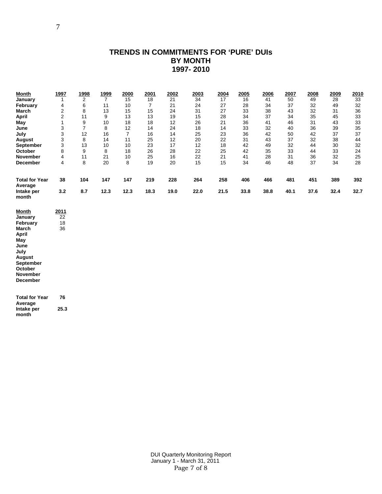### **TRENDS IN COMMITMENTS FOR 'PURE' DUIs BY MONTH 1997- 2010**

| <u>Month</u>                     | <u>1997</u>    | <u> 1998</u>   | <u>1999</u>    | 2000           | 2001           | 2002 | 2003 | 2004 | 2005 | 2006 | 2007 | 2008 | 2009 | <u> 2010</u> |
|----------------------------------|----------------|----------------|----------------|----------------|----------------|------|------|------|------|------|------|------|------|--------------|
| January                          | 1              | $\mathbf{2}$   | $\overline{7}$ | 15             | 18             | 21   | 34   | 17   | 16   | 41   | 50   | 49   | 28   | 33           |
| February                         | 4              | 6              | 11             | 10             | $\overline{7}$ | 21   | 24   | 27   | 28   | 34   | 37   | 32   | 49   | 32           |
| March                            | $\overline{2}$ | 8              | 13             | 15             | 15             | 24   | 31   | 27   | 33   | 38   | 43   | 32   | 31   | 36           |
| April                            | $\overline{c}$ | 11             | 9              | 13             | 13             | 19   | 15   | 28   | 34   | 37   | 34   | 35   | 45   | 33           |
| May                              | 1              | 9              | 10             | 18             | 18             | 12   | 26   | 21   | 36   | 41   | 46   | 31   | 43   | 33           |
| June                             | 3              | $\overline{7}$ | 8              | 12             | 14             | 24   | 18   | 14   | 33   | 32   | 40   | 36   | 39   | 35           |
| July                             | 3              | 12             | 16             | $\overline{7}$ | 16             | 14   | 25   | 23   | 36   | 42   | 50   | 42   | 37   | 37           |
| August                           | 3              | 8              | 14             | 11             | 25             | 12   | 20   | 22   | 31   | 43   | 37   | 32   | 38   | 44           |
| <b>September</b>                 | 3              | 13             | 10             | 10             | 23             | 17   | 12   | 18   | 42   | 49   | 32   | 44   | 30   | 32           |
| October                          | 8              | 9              | 8              | 18             | 26             | 28   | 22   | 25   | 42   | 35   | 33   | 44   | 33   | 24           |
| <b>November</b>                  | $\overline{4}$ | 11             | 21             | 10             | 25             | 16   | 22   | 21   | 41   | 28   | 31   | 36   | 32   | 25           |
| <b>December</b>                  | 4              | 8              | 20             | 8              | 19             | 20   | 15   | 15   | 34   | 46   | 48   | 37   | 34   | 28           |
| <b>Total for Year</b><br>Average | 38             | 104            | 147            | 147            | 219            | 228  | 264  | 258  | 406  | 466  | 481  | 451  | 389  | 392          |
| Intake per<br>month              | 3.2            | 8.7            | 12.3           | 12.3           | 18.3           | 19.0 | 22.0 | 21.5 | 33.8 | 38.8 | 40.1 | 37.6 | 32.4 | 32.7         |
| Month                            | 2011           |                |                |                |                |      |      |      |      |      |      |      |      |              |
| January                          | 22             |                |                |                |                |      |      |      |      |      |      |      |      |              |
| February                         | 18             |                |                |                |                |      |      |      |      |      |      |      |      |              |
| March                            | 36             |                |                |                |                |      |      |      |      |      |      |      |      |              |
| April                            |                |                |                |                |                |      |      |      |      |      |      |      |      |              |
| May                              |                |                |                |                |                |      |      |      |      |      |      |      |      |              |
| June                             |                |                |                |                |                |      |      |      |      |      |      |      |      |              |
| July                             |                |                |                |                |                |      |      |      |      |      |      |      |      |              |
| August                           |                |                |                |                |                |      |      |      |      |      |      |      |      |              |

**September October** 

**November December** 

**Total for Year 76 Average Intake per month 25.3** 

 DUI Quarterly Monitoring Report January 1 - March 31, 2011 Page 7 of 8